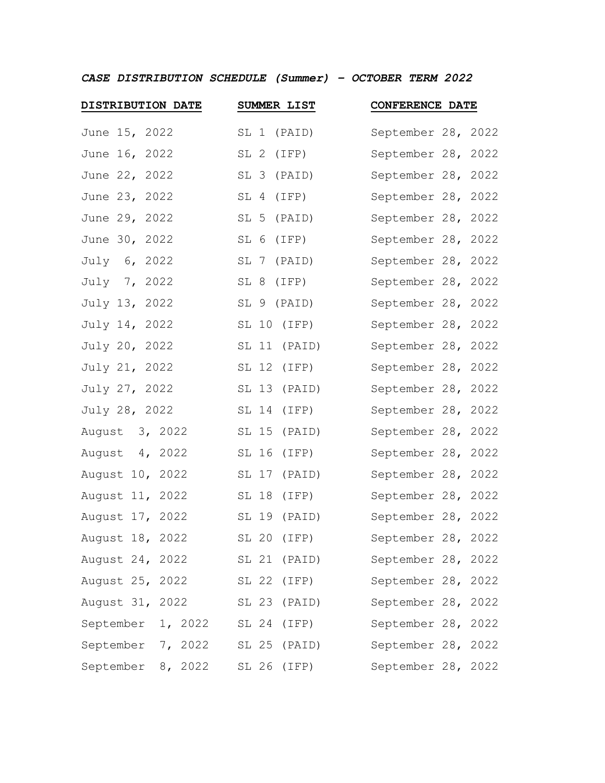*CASE DISTRIBUTION SCHEDULE (Summer) – OCTOBER TERM 2022*

| DISTRIBUTION DATE | SUMMER LIST     | <b>CONFERENCE DATE</b> |
|-------------------|-----------------|------------------------|
| June 15, 2022     | SL 1 (PAID)     | September 28, 2022     |
| June 16, 2022     | SL 2 (IFP)      | September 28, 2022     |
| June 22, 2022     | SL 3 (PAID)     | September 28, 2022     |
| June 23, 2022     | SL 4 (IFP)      | September 28, 2022     |
| June 29, 2022     | SL 5 (PAID)     | September 28, 2022     |
| June 30, 2022     | SL 6 (IFP)      | September 28, 2022     |
| July 6, 2022      | SL 7 (PAID)     | September 28, 2022     |
| July 7, 2022      | SL 8 (IFP)      | September 28, 2022     |
| July 13, 2022     | SL 9 (PAID)     | September 28, 2022     |
| July 14, 2022     | SL 10 (IFP)     | September 28, 2022     |
| July 20, 2022     | SL 11 (PAID)    | September 28, 2022     |
| July 21, 2022     | SL 12 (IFP)     | September 28, 2022     |
| July 27, 2022     | SL 13 (PAID)    | September 28, 2022     |
| July 28, 2022     | SL 14<br>(IFP)  | September 28, 2022     |
| August 3, 2022    | SL 15<br>(PAID) | September 28, 2022     |
| August 4, 2022    | SL 16<br>(IFP)  | September 28, 2022     |
| August 10, 2022   | SL 17 (PAID)    | September 28, 2022     |
| August 11, 2022   | SL 18<br>(IFP)  | September 28, 2022     |
| August 17, 2022   | SL 19 (PAID)    | September 28, 2022     |
| August 18, 2022   | SL 20 (IFP)     | September 28, 2022     |
| August 24, 2022   | SL 21 (PAID)    | September 28, 2022     |
| August 25, 2022   | SL 22 (IFP)     | September 28, 2022     |
| August 31, 2022   | SL 23 (PAID)    | September 28, 2022     |
| September 1, 2022 | SL 24 (IFP)     | September 28, 2022     |
| September 7, 2022 | SL 25 (PAID)    | September 28, 2022     |
| September 8, 2022 | SL 26 (IFP)     | September 28, 2022     |